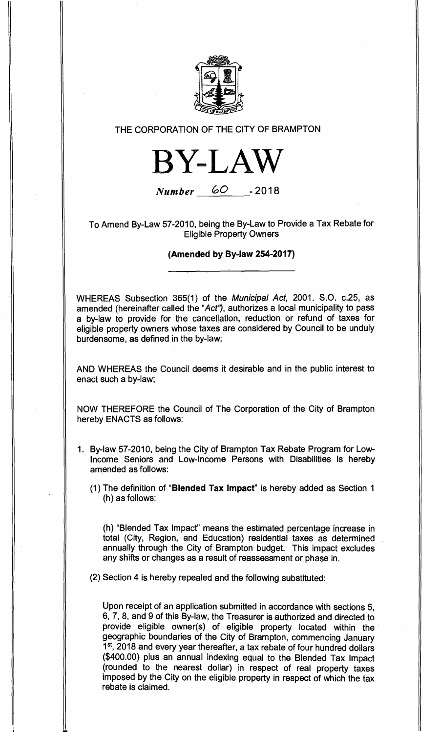

## **THE CORPORATION OF THE CITY OF BRAMPTON**



**Number GO -2018** 

**To Amend By-Law 57-2010, being the By-Law to Provide a Tax Rebate for Eligible Property Owners** 

**(Amended by By-law 254-2017)** 

**WHEREAS Subsection 365(1) of the Municipal Act, 2001. S.O. c.25, as amended (hereinafter called the "Act', authorizes a local municipality to pass a by-law to provide for the cancellation, reduction or refund of taxes for eligible property owners whose taxes are considered by Council to be unduly burdensome, as defined in the by-law;** 

**AND WHEREAS the Council deems it desirable and in the public interest to enact such a by-law;** 

**NOW THEREFORE the Council of The Corporation of the City of Brampton hereby ENACTS as follows:** 

- **1. By-law 57-2010, being the City of Brampton Tax Rebate Program for Low-Income Seniors and Low-Income Persons with Disabilities is hereby amended as follows:** 
	- **(1) The definition of "Blended Tax Impact" is hereby added as Section 1 (h) as follows:**

**(h) "Blended Tax Impact" means the estimated percentage increase in total (City, Region, and Education) residential taxes as determined annually through the City of Brampton budget. This impact excludes any shifts or changes as a result of reassessment or phase in.** 

**(2) Section 4 is hereby repealed and the following substituted:** 

**Upon receipt of an application submitted in accordance with sections 5, 6, 7, 8, and 9 of this By-law, the Treasurer is authorized and directed to provide eligible owner(s) of eligible property located within the geographic boundaries of the City of Brampton, commencing January 1st, 2018 and every year thereafter, a tax rebate of four hundred dollars (\$400.00) plus an annual indexing equal to the Blended Tax Impact (rounded to the nearest dollar) in respect of real property taxes imposed by the City on the eligible property in respect of which the tax rebate is claimed.**